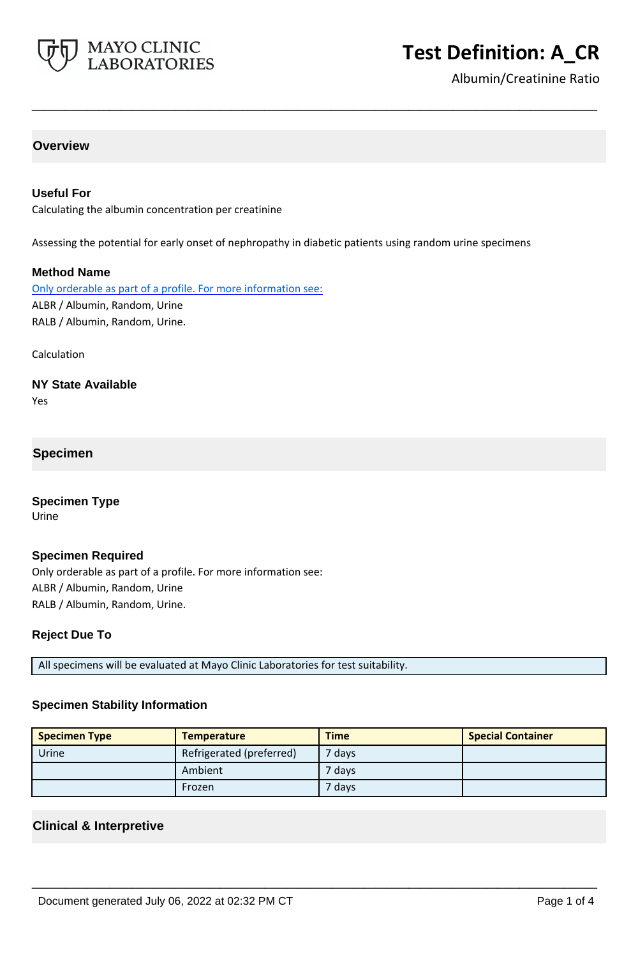

# **Test Definition: A\_CR**

Albumin/Creatinine Ratio

# **Overview**

## **Useful For**

Calculating the albumin concentration per creatinine

Assessing the potential for early onset of nephropathy in diabetic patients using random urine specimens

**\_\_\_\_\_\_\_\_\_\_\_\_\_\_\_\_\_\_\_\_\_\_\_\_\_\_\_\_\_\_\_\_\_\_\_\_\_\_\_\_\_\_\_\_\_\_\_\_\_\_\_**

#### **Method Name**

Only orderable as part of a profile. For more information see: ALBR / Albumin, Random, Urine RALB / Albumin, Random, Urine.

Calculation

# **NY State Available**

Yes

## **Specimen**

**Specimen Type** Urine

#### **Specimen Required**

Only orderable as part of a profile. For more information see: ALBR / Albumin, Random, Urine RALB / Albumin, Random, Urine.

#### **Reject Due To**

All specimens will be evaluated at Mayo Clinic Laboratories for test suitability.

#### **Specimen Stability Information**

| <b>Specimen Type</b> | <b>Temperature</b>       | <b>Time</b> | <b>Special Container</b> |
|----------------------|--------------------------|-------------|--------------------------|
| Urine                | Refrigerated (preferred) | $7$ days    |                          |
|                      | Ambient                  | ' days'     |                          |
|                      | Frozen                   | ' days'     |                          |

**\_\_\_\_\_\_\_\_\_\_\_\_\_\_\_\_\_\_\_\_\_\_\_\_\_\_\_\_\_\_\_\_\_\_\_\_\_\_\_\_\_\_\_\_\_\_\_\_\_\_\_**

## **Clinical & Interpretive**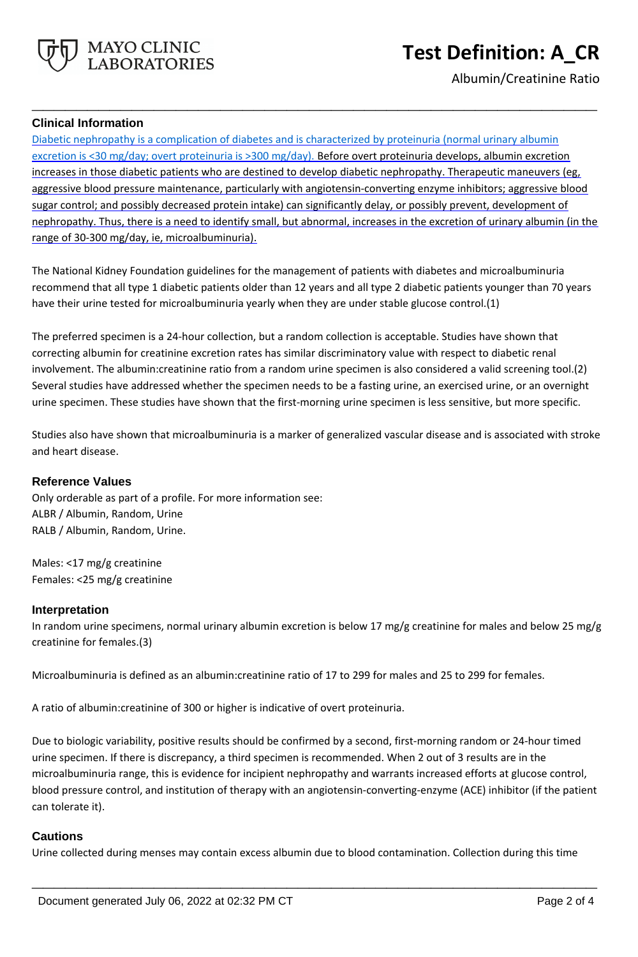

Albumin/Creatinine Ratio

# **Clinical Information**

Diabetic nephropathy is a complication of diabetes and is characterized by proteinuria (normal urinary albumin excretion is <30 mg/day; overt proteinuria is >300 mg/day). Before overt proteinuria develops, albumin excretion increases in those diabetic patients who are destined to develop diabetic nephropathy. Therapeutic maneuvers (eg, aggressive blood pressure maintenance, particularly with angiotensin-converting enzyme inhibitors; aggressive blood sugar control; and possibly decreased protein intake) can significantly delay, or possibly prevent, development of nephropathy. Thus, there is a need to identify small, but abnormal, increases in the excretion of urinary albumin (in the range of 30-300 mg/day, ie, microalbuminuria).

**\_\_\_\_\_\_\_\_\_\_\_\_\_\_\_\_\_\_\_\_\_\_\_\_\_\_\_\_\_\_\_\_\_\_\_\_\_\_\_\_\_\_\_\_\_\_\_\_\_\_\_**

The National Kidney Foundation guidelines for the management of patients with diabetes and microalbuminuria recommend that all type 1 diabetic patients older than 12 years and all type 2 diabetic patients younger than 70 years have their urine tested for microalbuminuria yearly when they are under stable glucose control.(1)

The preferred specimen is a 24-hour collection, but a random collection is acceptable. Studies have shown that correcting albumin for creatinine excretion rates has similar discriminatory value with respect to diabetic renal involvement. The albumin:creatinine ratio from a random urine specimen is also considered a valid screening tool.(2) Several studies have addressed whether the specimen needs to be a fasting urine, an exercised urine, or an overnight urine specimen. These studies have shown that the first-morning urine specimen is less sensitive, but more specific.

Studies also have shown that microalbuminuria is a marker of generalized vascular disease and is associated with stroke and heart disease.

## **Reference Values**

Only orderable as part of a profile. For more information see: ALBR / Albumin, Random, Urine RALB / Albumin, Random, Urine.

Males: <17 mg/g creatinine Females: <25 mg/g creatinine

## **Interpretation**

In random urine specimens, normal urinary albumin excretion is below 17 mg/g creatinine for males and below 25 mg/g creatinine for females.(3)

Microalbuminuria is defined as an albumin:creatinine ratio of 17 to 299 for males and 25 to 299 for females.

A ratio of albumin:creatinine of 300 or higher is indicative of overt proteinuria.

Due to biologic variability, positive results should be confirmed by a second, first-morning random or 24-hour timed urine specimen. If there is discrepancy, a third specimen is recommended. When 2 out of 3 results are in the microalbuminuria range, this is evidence for incipient nephropathy and warrants increased efforts at glucose control, blood pressure control, and institution of therapy with an angiotensin-converting-enzyme (ACE) inhibitor (if the patient can tolerate it).

## **Cautions**

Urine collected during menses may contain excess albumin due to blood contamination. Collection during this time

**\_\_\_\_\_\_\_\_\_\_\_\_\_\_\_\_\_\_\_\_\_\_\_\_\_\_\_\_\_\_\_\_\_\_\_\_\_\_\_\_\_\_\_\_\_\_\_\_\_\_\_**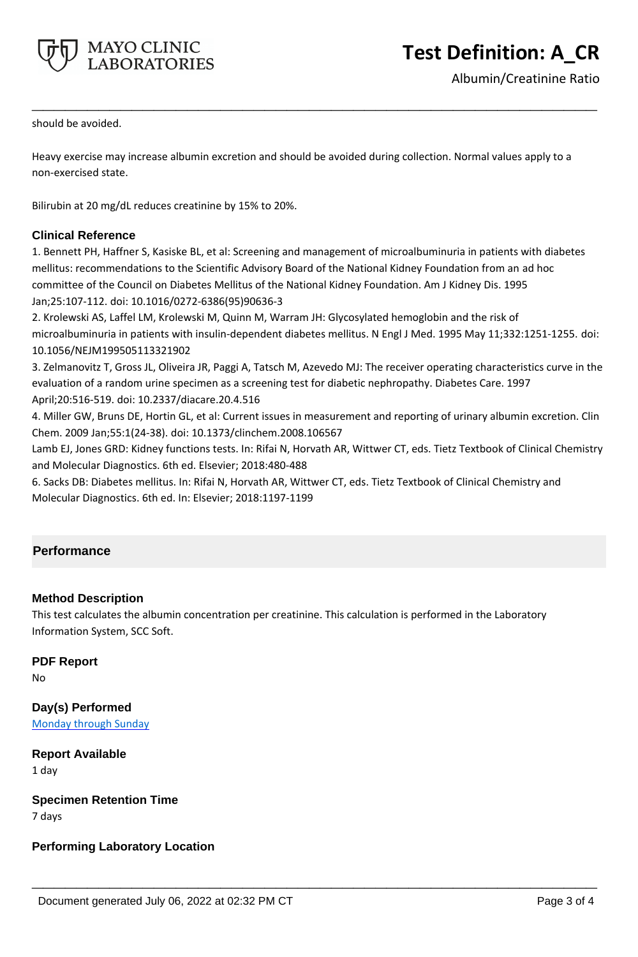

**Test Definition: A\_CR**

should be avoided.

Heavy exercise may increase albumin excretion and should be avoided during collection. Normal values apply to a non-exercised state.

**\_\_\_\_\_\_\_\_\_\_\_\_\_\_\_\_\_\_\_\_\_\_\_\_\_\_\_\_\_\_\_\_\_\_\_\_\_\_\_\_\_\_\_\_\_\_\_\_\_\_\_**

Bilirubin at 20 mg/dL reduces creatinine by 15% to 20%.

# **Clinical Reference**

1. Bennett PH, Haffner S, Kasiske BL, et al: Screening and management of microalbuminuria in patients with diabetes mellitus: recommendations to the Scientific Advisory Board of the National Kidney Foundation from an ad hoc committee of the Council on Diabetes Mellitus of the National Kidney Foundation. Am J Kidney Dis. 1995 Jan;25:107-112. doi: 10.1016/0272-6386(95)90636-3

2. Krolewski AS, Laffel LM, Krolewski M, Quinn M, Warram JH: Glycosylated hemoglobin and the risk of microalbuminuria in patients with insulin-dependent diabetes mellitus. N Engl J Med. 1995 May 11;332:1251-1255. doi: 10.1056/NEJM199505113321902

3. Zelmanovitz T, Gross JL, Oliveira JR, Paggi A, Tatsch M, Azevedo MJ: The receiver operating characteristics curve in the evaluation of a random urine specimen as a screening test for diabetic nephropathy. Diabetes Care. 1997 April;20:516-519. doi: 10.2337/diacare.20.4.516

4. Miller GW, Bruns DE, Hortin GL, et al: Current issues in measurement and reporting of urinary albumin excretion. Clin Chem. 2009 Jan;55:1(24-38). doi: 10.1373/clinchem.2008.106567

Lamb EJ, Jones GRD: Kidney functions tests. In: Rifai N, Horvath AR, Wittwer CT, eds. Tietz Textbook of Clinical Chemistry and Molecular Diagnostics. 6th ed. Elsevier; 2018:480-488

6. Sacks DB: Diabetes mellitus. In: Rifai N, Horvath AR, Wittwer CT, eds. Tietz Textbook of Clinical Chemistry and Molecular Diagnostics. 6th ed. In: Elsevier; 2018:1197-1199

# **Performance**

## **Method Description**

This test calculates the albumin concentration per creatinine. This calculation is performed in the Laboratory Information System, SCC Soft.

**\_\_\_\_\_\_\_\_\_\_\_\_\_\_\_\_\_\_\_\_\_\_\_\_\_\_\_\_\_\_\_\_\_\_\_\_\_\_\_\_\_\_\_\_\_\_\_\_\_\_\_**

## **PDF Report**

No

**Day(s) Performed** Monday through Sunday

**Report Available** 1 day

**Specimen Retention Time**

7 days

**Performing Laboratory Location**